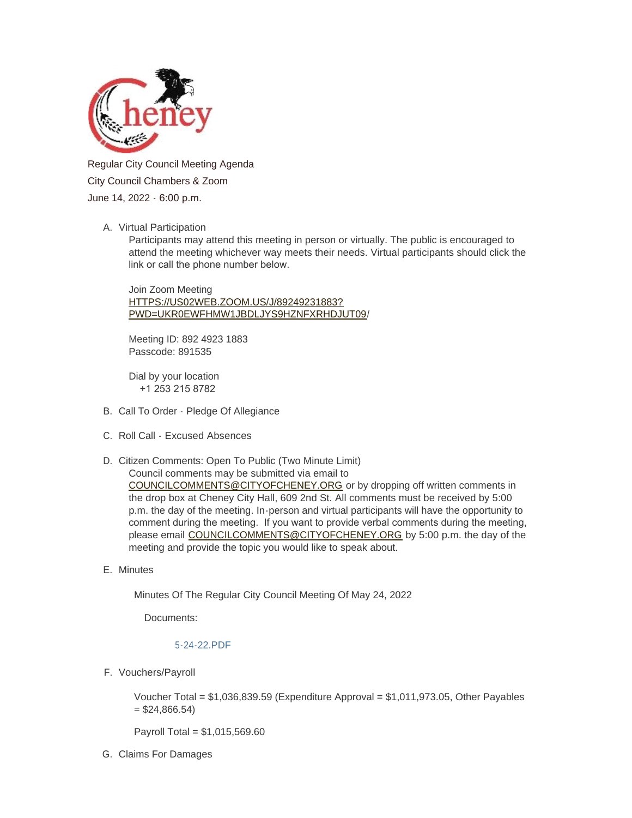

Regular City Council Meeting Agenda City Council Chambers & Zoom June 14, 2022 - 6:00 p.m.

### A. Virtual Participation

Participants may attend this meeting in person or virtually. The public is encouraged to attend the meeting whichever way meets their needs. Virtual participants should click the link or call the phone number below.

Join Zoom Meeting HTTPS://US02WEB.ZOOM.US/J/89249231883? [PWD=UKR0EWFHMW1JBDLJYS9HZNFXRHDJUT09/](https://us02web.zoom.us/j/89249231883?pwd=UkR0eWFhMW1jbDlJYS9HZnFxRHdjUT09)

Meeting ID: 892 4923 1883 Passcode: 891535

Dial by your location +1 253 215 8782

- B. Call To Order Pledge Of Allegiance
- C. Roll Call Excused Absences
- D. Citizen Comments: Open To Public (Two Minute Limit) [Council comments may be submitted via email t](mailto:councilcomments@cityofcheney.org)o COUNCILCOMMENTS@CITYOFCHENEY.ORG or by dropping off written comments in the drop box at Cheney City Hall, 609 2nd St. All comments must be received by 5:00 p.m. the day of the meeting. In-person and virtual participants will have the opportunity to comment during the meeting. If you want to provide verbal comments during the meeting, please email [COUNCILCOMMENTS@CITYOFCHENEY.ORG](mailto:councilcomments@cityofcheney.org) by 5:00 p.m. the day of the meeting and provide the topic you would like to speak about.
- E. Minutes

Minutes Of The Regular City Council Meeting Of May 24, 2022

Documents:

# [5-24-22.PDF](https://www.cityofcheney.org/AgendaCenter/ViewFile/Item/3997?fileID=8657)

F. Vouchers/Payroll

Voucher Total =  $$1,036,839.59$  (Expenditure Approval =  $$1,011,973.05$ , Other Payables  $= $24,866.54$ 

Payroll Total = \$1,015,569.60

Claims For Damages G.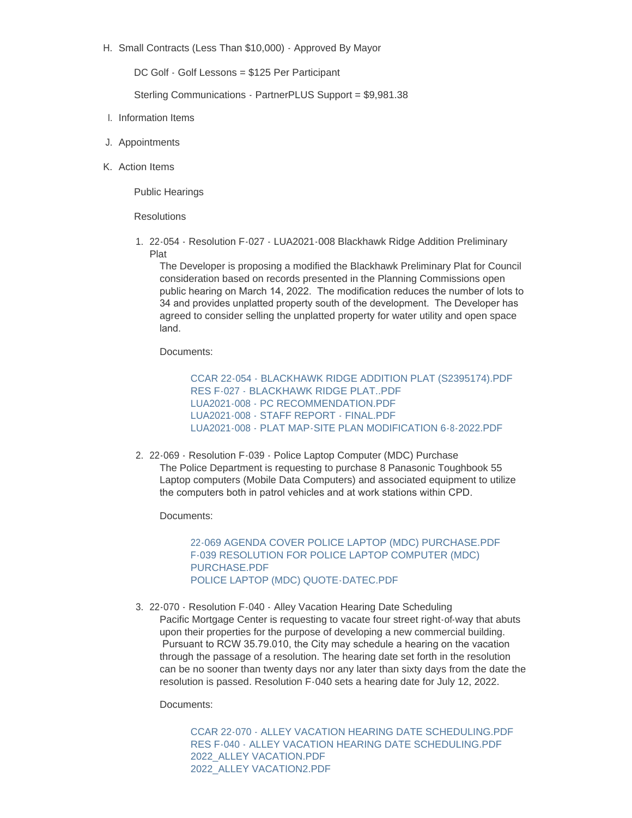H. Small Contracts (Less Than \$10,000) - Approved By Mayor

DC Golf - Golf Lessons = \$125 Per Participant

Sterling Communications - PartnerPLUS Support = \$9,981.38

- I. Information Items
- J. Appointments
- K. Action Items

Public Hearings

**Resolutions** 

22-054 - Resolution F-027 - LUA2021-008 Blackhawk Ridge Addition Preliminary 1. Plat

The Developer is proposing a modified the Blackhawk Preliminary Plat for Council consideration based on records presented in the Planning Commissions open public hearing on March 14, 2022. The modification reduces the number of lots to 34 and provides unplatted property south of the development. The Developer has agreed to consider selling the unplatted property for water utility and open space land.

Documents:

[CCAR 22-054 - BLACKHAWK RIDGE ADDITION PLAT \(S2395174\).PDF](https://www.cityofcheney.org/AgendaCenter/ViewFile/Item/4002?fileID=8673) [RES F-027 - BLACKHAWK RIDGE PLAT..PDF](https://www.cityofcheney.org/AgendaCenter/ViewFile/Item/4002?fileID=8674) [LUA2021-008 - PC RECOMMENDATION.PDF](https://www.cityofcheney.org/AgendaCenter/ViewFile/Item/4002?fileID=8675) [LUA2021-008 - STAFF REPORT - FINAL.PDF](https://www.cityofcheney.org/AgendaCenter/ViewFile/Item/4002?fileID=8676) [LUA2021-008 - PLAT MAP-SITE PLAN MODIFICATION 6-8-2022.PDF](https://www.cityofcheney.org/AgendaCenter/ViewFile/Item/4002?fileID=8677)

2. 22-069 - Resolution F-039 - Police Laptop Computer (MDC) Purchase The Police Department is requesting to purchase 8 Panasonic Toughbook 55 Laptop computers (Mobile Data Computers) and associated equipment to utilize the computers both in patrol vehicles and at work stations within CPD.

Documents:

[22-069 AGENDA COVER POLICE LAPTOP \(MDC\) PURCHASE.PDF](https://www.cityofcheney.org/AgendaCenter/ViewFile/Item/3998?fileID=8659) [F-039 RESOLUTION FOR POLICE LAPTOP COMPUTER \(MDC\)](https://www.cityofcheney.org/AgendaCenter/ViewFile/Item/3998?fileID=8660)  PURCHASE.PDF [POLICE LAPTOP \(MDC\) QUOTE-DATEC.PDF](https://www.cityofcheney.org/AgendaCenter/ViewFile/Item/3998?fileID=8661)

22-070 - Resolution F-040 - Alley Vacation Hearing Date Scheduling 3. Pacific Mortgage Center is requesting to vacate four street right-of-way that abuts upon their properties for the purpose of developing a new commercial building. Pursuant to RCW 35.79.010, the City may schedule a hearing on the vacation through the passage of a resolution. The hearing date set forth in the resolution can be no sooner than twenty days nor any later than sixty days from the date the resolution is passed. Resolution F-040 sets a hearing date for July 12, 2022.

Documents:

[CCAR 22-070 - ALLEY VACATION HEARING DATE SCHEDULING.PDF](https://www.cityofcheney.org/AgendaCenter/ViewFile/Item/3999?fileID=8662) [RES F-040 - ALLEY VACATION HEARING DATE SCHEDULING.PDF](https://www.cityofcheney.org/AgendaCenter/ViewFile/Item/3999?fileID=8663) [2022\\_ALLEY VACATION.PDF](https://www.cityofcheney.org/AgendaCenter/ViewFile/Item/3999?fileID=8664) [2022\\_ALLEY VACATION2.PDF](https://www.cityofcheney.org/AgendaCenter/ViewFile/Item/3999?fileID=8665)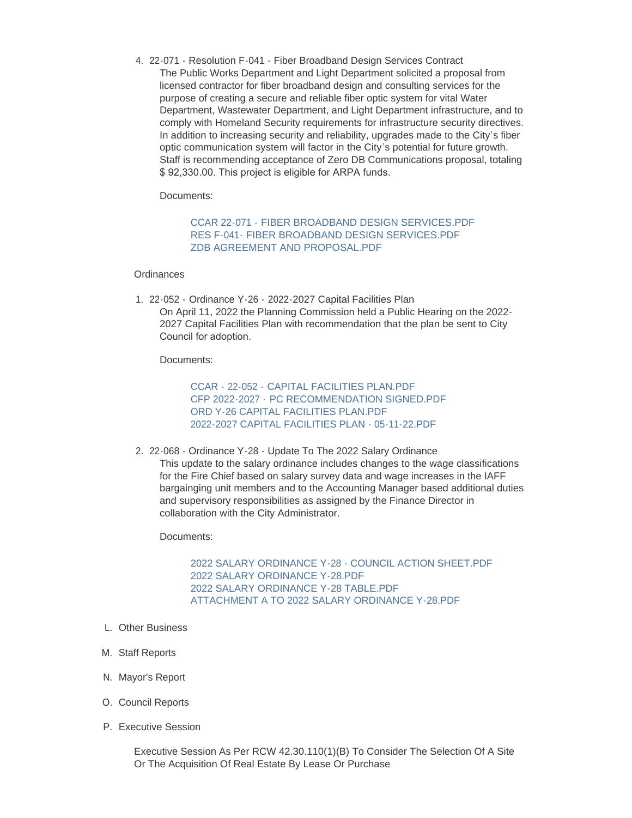22-071 - Resolution F-041 - Fiber Broadband Design Services Contract 4. The Public Works Department and Light Department solicited a proposal from licensed contractor for fiber broadband design and consulting services for the purpose of creating a secure and reliable fiber optic system for vital Water Department, Wastewater Department, and Light Department infrastructure, and to comply with Homeland Security requirements for infrastructure security directives. In addition to increasing security and reliability, upgrades made to the City's fiber optic communication system will factor in the City's potential for future growth. Staff is recommending acceptance of Zero DB Communications proposal, totaling \$ 92,330.00. This project is eligible for ARPA funds.

Documents:

## CCAR 22-071 - [FIBER BROADBAND DESIGN SERVICES.PDF](https://www.cityofcheney.org/AgendaCenter/ViewFile/Item/4000?fileID=8666) RES F-041- [FIBER BROADBAND DESIGN SERVICES.PDF](https://www.cityofcheney.org/AgendaCenter/ViewFile/Item/4000?fileID=8667) [ZDB AGREEMENT AND PROPOSAL.PDF](https://www.cityofcheney.org/AgendaCenter/ViewFile/Item/4000?fileID=8668)

#### **Ordinances**

22-052 - Ordinance Y-26 - 2022-2027 Capital Facilities Plan 1. On April 11, 2022 the Planning Commission held a Public Hearing on the 2022- 2027 Capital Facilities Plan with recommendation that the plan be sent to City Council for adoption.

Documents:

CCAR - 22-052 - [CAPITAL FACILITIES PLAN.PDF](https://www.cityofcheney.org/AgendaCenter/ViewFile/Item/4001?fileID=8669) CFP 2022-2027 - [PC RECOMMENDATION SIGNED.PDF](https://www.cityofcheney.org/AgendaCenter/ViewFile/Item/4001?fileID=8670) [ORD Y-26 CAPITAL FACILITIES PLAN.PDF](https://www.cityofcheney.org/AgendaCenter/ViewFile/Item/4001?fileID=8671) [2022-2027 CAPITAL FACILITIES PLAN - 05-11-22.PDF](https://www.cityofcheney.org/AgendaCenter/ViewFile/Item/4001?fileID=8672)

2. 22-068 - Ordinance Y-28 - Update To The 2022 Salary Ordinance This update to the salary ordinance includes changes to the wage classifications for the Fire Chief based on salary survey data and wage increases in the IAFF bargainging unit members and to the Accounting Manager based additional duties and supervisory responsibilities as assigned by the Finance Director in collaboration with the City Administrator.

Documents:

[2022 SALARY ORDINANCE Y-28 - COUNCIL ACTION SHEET.PDF](https://www.cityofcheney.org/AgendaCenter/ViewFile/Item/4003?fileID=8678) [2022 SALARY ORDINANCE Y-28.PDF](https://www.cityofcheney.org/AgendaCenter/ViewFile/Item/4003?fileID=8679) [2022 SALARY ORDINANCE Y-28 TABLE.PDF](https://www.cityofcheney.org/AgendaCenter/ViewFile/Item/4003?fileID=8680) [ATTACHMENT A TO 2022 SALARY ORDINANCE Y-28.PDF](https://www.cityofcheney.org/AgendaCenter/ViewFile/Item/4003?fileID=8681)

- Other Business L.
- M. Staff Reports
- N. Mayor's Report
- O. Council Reports
- P. Executive Session

Executive Session As Per RCW 42.30.110(1)(B) To Consider The Selection Of A Site Or The Acquisition Of Real Estate By Lease Or Purchase